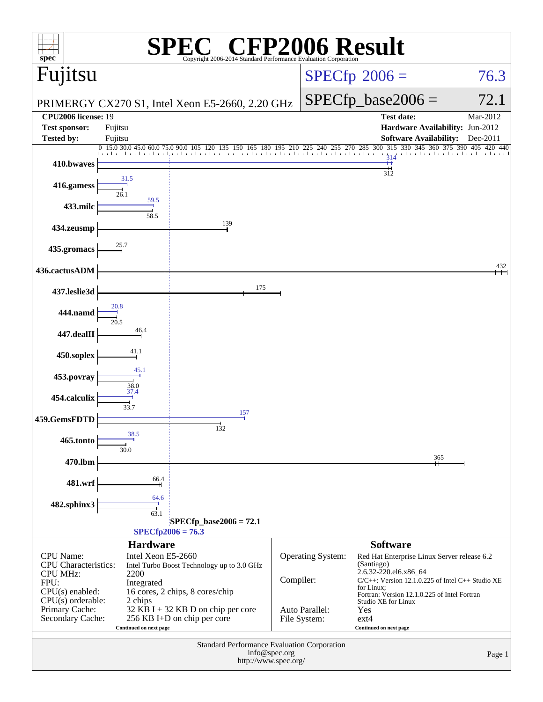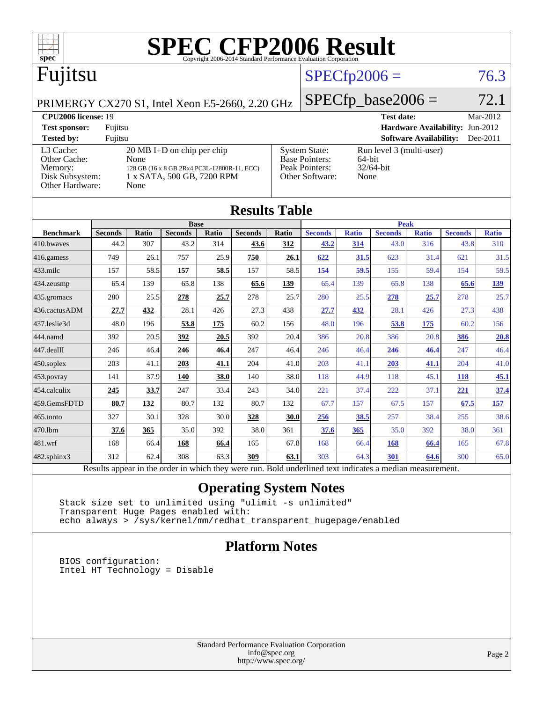

[434.zeusmp](http://www.spec.org/auto/cpu2006/Docs/434.zeusmp.html) 65.4 139 65.8 138 **[65.6](http://www.spec.org/auto/cpu2006/Docs/result-fields.html#Median) [139](http://www.spec.org/auto/cpu2006/Docs/result-fields.html#Median)** 65.4 139 65.8 138 **[65.6](http://www.spec.org/auto/cpu2006/Docs/result-fields.html#Median) [139](http://www.spec.org/auto/cpu2006/Docs/result-fields.html#Median)** [435.gromacs](http://www.spec.org/auto/cpu2006/Docs/435.gromacs.html) 280 25.5 **[278](http://www.spec.org/auto/cpu2006/Docs/result-fields.html#Median) [25.7](http://www.spec.org/auto/cpu2006/Docs/result-fields.html#Median)** 278 25.7 280 25.5 **[278](http://www.spec.org/auto/cpu2006/Docs/result-fields.html#Median) [25.7](http://www.spec.org/auto/cpu2006/Docs/result-fields.html#Median)** 278 25.7 [436.cactusADM](http://www.spec.org/auto/cpu2006/Docs/436.cactusADM.html) **[27.7](http://www.spec.org/auto/cpu2006/Docs/result-fields.html#Median) [432](http://www.spec.org/auto/cpu2006/Docs/result-fields.html#Median)** 28.1 426 27.3 438 **[27.7](http://www.spec.org/auto/cpu2006/Docs/result-fields.html#Median) [432](http://www.spec.org/auto/cpu2006/Docs/result-fields.html#Median)** 28.1 426 27.3 438 [437.leslie3d](http://www.spec.org/auto/cpu2006/Docs/437.leslie3d.html) 48.0 196 **[53.8](http://www.spec.org/auto/cpu2006/Docs/result-fields.html#Median) [175](http://www.spec.org/auto/cpu2006/Docs/result-fields.html#Median)** 60.2 156 48.0 196 **[53.8](http://www.spec.org/auto/cpu2006/Docs/result-fields.html#Median) [175](http://www.spec.org/auto/cpu2006/Docs/result-fields.html#Median)** 60.2 156 [444.namd](http://www.spec.org/auto/cpu2006/Docs/444.namd.html) 392 20.5 **[392](http://www.spec.org/auto/cpu2006/Docs/result-fields.html#Median) [20.5](http://www.spec.org/auto/cpu2006/Docs/result-fields.html#Median)** 392 20.4 386 20.8 386 20.8 **[386](http://www.spec.org/auto/cpu2006/Docs/result-fields.html#Median) [20.8](http://www.spec.org/auto/cpu2006/Docs/result-fields.html#Median)** [447.dealII](http://www.spec.org/auto/cpu2006/Docs/447.dealII.html) 246 46.4 **[246](http://www.spec.org/auto/cpu2006/Docs/result-fields.html#Median) [46.4](http://www.spec.org/auto/cpu2006/Docs/result-fields.html#Median)** 247 46.4 246 46.4 **[246](http://www.spec.org/auto/cpu2006/Docs/result-fields.html#Median) [46.4](http://www.spec.org/auto/cpu2006/Docs/result-fields.html#Median)** 247 46.4 [450.soplex](http://www.spec.org/auto/cpu2006/Docs/450.soplex.html) 203 41.1 **[203](http://www.spec.org/auto/cpu2006/Docs/result-fields.html#Median) [41.1](http://www.spec.org/auto/cpu2006/Docs/result-fields.html#Median)** 204 41.0 203 41.1 **[203](http://www.spec.org/auto/cpu2006/Docs/result-fields.html#Median) [41.1](http://www.spec.org/auto/cpu2006/Docs/result-fields.html#Median)** 204 41.0

| 453.povray   | 141  | 37.9       | <u> 140</u> | 38.0 | 140  | 38.0 | 118  | 44.9       | 118        | 45.1 | <u> 118</u> | <u>45.1</u> |
|--------------|------|------------|-------------|------|------|------|------|------------|------------|------|-------------|-------------|
| 454.calculix | 245  | 33.7       | 247         | 33.4 | 243  | 34.0 | 221  | 37.4       | 222        | 37.1 | 221         | <u>37.4</u> |
| 459.GemsFDTD | 80.7 | <u>132</u> | 80.7        | 132  | 80.7 | 132  | 67.7 | 157        | 67.5       | 157  | 67.5        | <u> 157</u> |
| 465.tonto    | 327  | 30.1       | 328         | 30.0 | 328  | 30.0 | 256  | 38.5       | 257        | 38.4 | 255         | 38.6        |
| 470.1bm      | 37.6 | 365        | 35.0        | 392  | 38.0 | 361  | 37.6 | <u>365</u> | 35.0       | 392  | 38.0        | 361         |
| 481.wrf      | 168  | 66.4       | 168         | 66.4 | 165  | 67.8 | 168  | 66.4       | <u>168</u> | 66.4 | 165         | 67.8        |

[482.sphinx3](http://www.spec.org/auto/cpu2006/Docs/482.sphinx3.html) 312 62.4 308 63.3 **[309](http://www.spec.org/auto/cpu2006/Docs/result-fields.html#Median) [63.1](http://www.spec.org/auto/cpu2006/Docs/result-fields.html#Median)** 303 64.3 **[301](http://www.spec.org/auto/cpu2006/Docs/result-fields.html#Median) [64.6](http://www.spec.org/auto/cpu2006/Docs/result-fields.html#Median)** 300 65.0 Results appear in the [order in which they were run.](http://www.spec.org/auto/cpu2006/Docs/result-fields.html#RunOrder) Bold underlined text [indicates a median measurement.](http://www.spec.org/auto/cpu2006/Docs/result-fields.html#Median)

### **[Operating System Notes](http://www.spec.org/auto/cpu2006/Docs/result-fields.html#OperatingSystemNotes)**

 Stack size set to unlimited using "ulimit -s unlimited" Transparent Huge Pages enabled with: echo always > /sys/kernel/mm/redhat\_transparent\_hugepage/enabled

### **[Platform Notes](http://www.spec.org/auto/cpu2006/Docs/result-fields.html#PlatformNotes)**

 BIOS configuration: Intel HT Technology = Disable

> Standard Performance Evaluation Corporation [info@spec.org](mailto:info@spec.org) <http://www.spec.org/>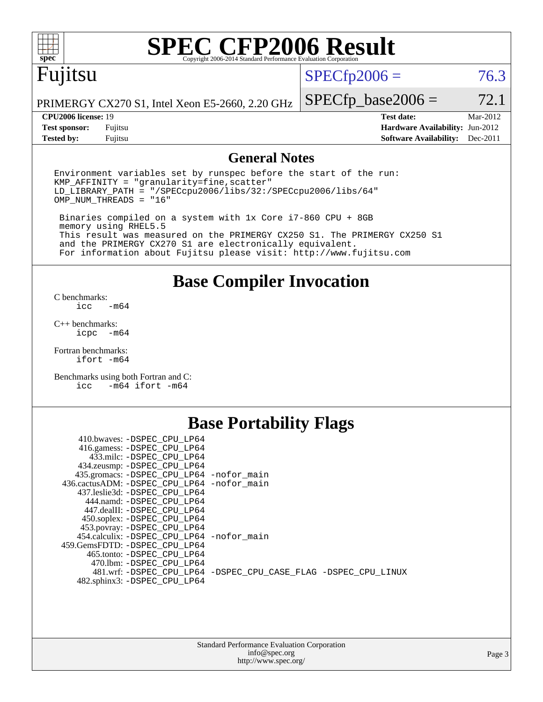

# **[SPEC CFP2006 Result](http://www.spec.org/auto/cpu2006/Docs/result-fields.html#SPECCFP2006Result)**

# Fujitsu

 $SPECTp2006 = 76.3$ 

PRIMERGY CX270 S1, Intel Xeon E5-2660, 2.20 GHz

**[Tested by:](http://www.spec.org/auto/cpu2006/Docs/result-fields.html#Testedby)** Fujitsu **[Software Availability:](http://www.spec.org/auto/cpu2006/Docs/result-fields.html#SoftwareAvailability)** Dec-2011

 $SPECTp\_base2006 = 72.1$ **[CPU2006 license:](http://www.spec.org/auto/cpu2006/Docs/result-fields.html#CPU2006license)** 19 **[Test date:](http://www.spec.org/auto/cpu2006/Docs/result-fields.html#Testdate)** Mar-2012 **[Test sponsor:](http://www.spec.org/auto/cpu2006/Docs/result-fields.html#Testsponsor)** Fujitsu **[Hardware Availability:](http://www.spec.org/auto/cpu2006/Docs/result-fields.html#HardwareAvailability)** Jun-2012

### **[General Notes](http://www.spec.org/auto/cpu2006/Docs/result-fields.html#GeneralNotes)**

Environment variables set by runspec before the start of the run:  $KMP$  AFFINITY = "granularity=fine, scatter" LD\_LIBRARY\_PATH = "/SPECcpu2006/libs/32:/SPECcpu2006/libs/64" OMP\_NUM\_THREADS = "16"

 Binaries compiled on a system with 1x Core i7-860 CPU + 8GB memory using RHEL5.5 This result was measured on the PRIMERGY CX250 S1. The PRIMERGY CX250 S1 and the PRIMERGY CX270 S1 are electronically equivalent. For information about Fujitsu please visit: <http://www.fujitsu.com>

**[Base Compiler Invocation](http://www.spec.org/auto/cpu2006/Docs/result-fields.html#BaseCompilerInvocation)**

[C benchmarks](http://www.spec.org/auto/cpu2006/Docs/result-fields.html#Cbenchmarks):  $-m64$ 

[C++ benchmarks:](http://www.spec.org/auto/cpu2006/Docs/result-fields.html#CXXbenchmarks) [icpc -m64](http://www.spec.org/cpu2006/results/res2012q3/cpu2006-20120620-23082.flags.html#user_CXXbase_intel_icpc_64bit_bedb90c1146cab66620883ef4f41a67e)

[Fortran benchmarks](http://www.spec.org/auto/cpu2006/Docs/result-fields.html#Fortranbenchmarks): [ifort -m64](http://www.spec.org/cpu2006/results/res2012q3/cpu2006-20120620-23082.flags.html#user_FCbase_intel_ifort_64bit_ee9d0fb25645d0210d97eb0527dcc06e)

[Benchmarks using both Fortran and C](http://www.spec.org/auto/cpu2006/Docs/result-fields.html#BenchmarksusingbothFortranandC): [icc -m64](http://www.spec.org/cpu2006/results/res2012q3/cpu2006-20120620-23082.flags.html#user_CC_FCbase_intel_icc_64bit_0b7121f5ab7cfabee23d88897260401c) [ifort -m64](http://www.spec.org/cpu2006/results/res2012q3/cpu2006-20120620-23082.flags.html#user_CC_FCbase_intel_ifort_64bit_ee9d0fb25645d0210d97eb0527dcc06e)

### **[Base Portability Flags](http://www.spec.org/auto/cpu2006/Docs/result-fields.html#BasePortabilityFlags)**

| 410.bwaves: -DSPEC CPU LP64<br>416.gamess: -DSPEC_CPU_LP64<br>433.milc: -DSPEC CPU LP64 |                                                                |
|-----------------------------------------------------------------------------------------|----------------------------------------------------------------|
| 434.zeusmp: - DSPEC_CPU_LP64                                                            |                                                                |
| 435.gromacs: -DSPEC_CPU_LP64 -nofor_main                                                |                                                                |
| 436.cactusADM: -DSPEC CPU LP64 -nofor main                                              |                                                                |
| 437.leslie3d: -DSPEC CPU LP64                                                           |                                                                |
| 444.namd: -DSPEC CPU LP64                                                               |                                                                |
| 447.dealII: -DSPEC_CPU LP64                                                             |                                                                |
| 450.soplex: -DSPEC_CPU_LP64                                                             |                                                                |
| 453.povray: -DSPEC_CPU_LP64                                                             |                                                                |
| 454.calculix: - DSPEC CPU LP64 - nofor main                                             |                                                                |
| 459. GemsFDTD: - DSPEC CPU LP64                                                         |                                                                |
| 465.tonto: - DSPEC CPU LP64                                                             |                                                                |
| 470.1bm: - DSPEC CPU LP64                                                               |                                                                |
|                                                                                         | 481.wrf: -DSPEC CPU_LP64 -DSPEC_CPU_CASE_FLAG -DSPEC_CPU_LINUX |
| 482.sphinx3: -DSPEC_CPU_LP64                                                            |                                                                |
|                                                                                         |                                                                |

| <b>Standard Performance Evaluation Corporation</b> |
|----------------------------------------------------|
| info@spec.org                                      |
| http://www.spec.org/                               |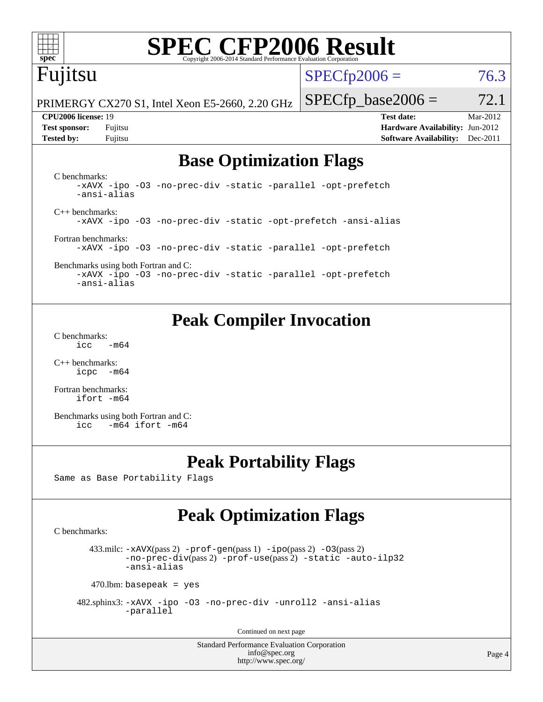

# **[SPEC CFP2006 Result](http://www.spec.org/auto/cpu2006/Docs/result-fields.html#SPECCFP2006Result)**

# Fujitsu

 $SPECTp2006 = 76.3$ 

PRIMERGY CX270 S1, Intel Xeon E5-2660, 2.20 GHz

**[Test sponsor:](http://www.spec.org/auto/cpu2006/Docs/result-fields.html#Testsponsor)** Fujitsu **[Hardware Availability:](http://www.spec.org/auto/cpu2006/Docs/result-fields.html#HardwareAvailability)** Jun-2012 **[Tested by:](http://www.spec.org/auto/cpu2006/Docs/result-fields.html#Testedby)** Fujitsu **[Software Availability:](http://www.spec.org/auto/cpu2006/Docs/result-fields.html#SoftwareAvailability)** Dec-2011

 $SPECTp\_base2006 = 72.1$ **[CPU2006 license:](http://www.spec.org/auto/cpu2006/Docs/result-fields.html#CPU2006license)** 19 **[Test date:](http://www.spec.org/auto/cpu2006/Docs/result-fields.html#Testdate)** Mar-2012

## **[Base Optimization Flags](http://www.spec.org/auto/cpu2006/Docs/result-fields.html#BaseOptimizationFlags)**

[C benchmarks](http://www.spec.org/auto/cpu2006/Docs/result-fields.html#Cbenchmarks): [-xAVX](http://www.spec.org/cpu2006/results/res2012q3/cpu2006-20120620-23082.flags.html#user_CCbase_f-xAVX) [-ipo](http://www.spec.org/cpu2006/results/res2012q3/cpu2006-20120620-23082.flags.html#user_CCbase_f-ipo) [-O3](http://www.spec.org/cpu2006/results/res2012q3/cpu2006-20120620-23082.flags.html#user_CCbase_f-O3) [-no-prec-div](http://www.spec.org/cpu2006/results/res2012q3/cpu2006-20120620-23082.flags.html#user_CCbase_f-no-prec-div) [-static](http://www.spec.org/cpu2006/results/res2012q3/cpu2006-20120620-23082.flags.html#user_CCbase_f-static) [-parallel](http://www.spec.org/cpu2006/results/res2012q3/cpu2006-20120620-23082.flags.html#user_CCbase_f-parallel) [-opt-prefetch](http://www.spec.org/cpu2006/results/res2012q3/cpu2006-20120620-23082.flags.html#user_CCbase_f-opt-prefetch) [-ansi-alias](http://www.spec.org/cpu2006/results/res2012q3/cpu2006-20120620-23082.flags.html#user_CCbase_f-ansi-alias) [C++ benchmarks:](http://www.spec.org/auto/cpu2006/Docs/result-fields.html#CXXbenchmarks) [-xAVX](http://www.spec.org/cpu2006/results/res2012q3/cpu2006-20120620-23082.flags.html#user_CXXbase_f-xAVX) [-ipo](http://www.spec.org/cpu2006/results/res2012q3/cpu2006-20120620-23082.flags.html#user_CXXbase_f-ipo) [-O3](http://www.spec.org/cpu2006/results/res2012q3/cpu2006-20120620-23082.flags.html#user_CXXbase_f-O3) [-no-prec-div](http://www.spec.org/cpu2006/results/res2012q3/cpu2006-20120620-23082.flags.html#user_CXXbase_f-no-prec-div) [-static](http://www.spec.org/cpu2006/results/res2012q3/cpu2006-20120620-23082.flags.html#user_CXXbase_f-static) [-opt-prefetch](http://www.spec.org/cpu2006/results/res2012q3/cpu2006-20120620-23082.flags.html#user_CXXbase_f-opt-prefetch) [-ansi-alias](http://www.spec.org/cpu2006/results/res2012q3/cpu2006-20120620-23082.flags.html#user_CXXbase_f-ansi-alias) [Fortran benchmarks](http://www.spec.org/auto/cpu2006/Docs/result-fields.html#Fortranbenchmarks): [-xAVX](http://www.spec.org/cpu2006/results/res2012q3/cpu2006-20120620-23082.flags.html#user_FCbase_f-xAVX) [-ipo](http://www.spec.org/cpu2006/results/res2012q3/cpu2006-20120620-23082.flags.html#user_FCbase_f-ipo) [-O3](http://www.spec.org/cpu2006/results/res2012q3/cpu2006-20120620-23082.flags.html#user_FCbase_f-O3) [-no-prec-div](http://www.spec.org/cpu2006/results/res2012q3/cpu2006-20120620-23082.flags.html#user_FCbase_f-no-prec-div) [-static](http://www.spec.org/cpu2006/results/res2012q3/cpu2006-20120620-23082.flags.html#user_FCbase_f-static) [-parallel](http://www.spec.org/cpu2006/results/res2012q3/cpu2006-20120620-23082.flags.html#user_FCbase_f-parallel) [-opt-prefetch](http://www.spec.org/cpu2006/results/res2012q3/cpu2006-20120620-23082.flags.html#user_FCbase_f-opt-prefetch)

[Benchmarks using both Fortran and C](http://www.spec.org/auto/cpu2006/Docs/result-fields.html#BenchmarksusingbothFortranandC): [-xAVX](http://www.spec.org/cpu2006/results/res2012q3/cpu2006-20120620-23082.flags.html#user_CC_FCbase_f-xAVX) [-ipo](http://www.spec.org/cpu2006/results/res2012q3/cpu2006-20120620-23082.flags.html#user_CC_FCbase_f-ipo) [-O3](http://www.spec.org/cpu2006/results/res2012q3/cpu2006-20120620-23082.flags.html#user_CC_FCbase_f-O3) [-no-prec-div](http://www.spec.org/cpu2006/results/res2012q3/cpu2006-20120620-23082.flags.html#user_CC_FCbase_f-no-prec-div) [-static](http://www.spec.org/cpu2006/results/res2012q3/cpu2006-20120620-23082.flags.html#user_CC_FCbase_f-static) [-parallel](http://www.spec.org/cpu2006/results/res2012q3/cpu2006-20120620-23082.flags.html#user_CC_FCbase_f-parallel) [-opt-prefetch](http://www.spec.org/cpu2006/results/res2012q3/cpu2006-20120620-23082.flags.html#user_CC_FCbase_f-opt-prefetch) [-ansi-alias](http://www.spec.org/cpu2006/results/res2012q3/cpu2006-20120620-23082.flags.html#user_CC_FCbase_f-ansi-alias)

### **[Peak Compiler Invocation](http://www.spec.org/auto/cpu2006/Docs/result-fields.html#PeakCompilerInvocation)**

[C benchmarks](http://www.spec.org/auto/cpu2006/Docs/result-fields.html#Cbenchmarks):  $\text{icc}$  -m64

[C++ benchmarks:](http://www.spec.org/auto/cpu2006/Docs/result-fields.html#CXXbenchmarks) [icpc -m64](http://www.spec.org/cpu2006/results/res2012q3/cpu2006-20120620-23082.flags.html#user_CXXpeak_intel_icpc_64bit_bedb90c1146cab66620883ef4f41a67e)

[Fortran benchmarks](http://www.spec.org/auto/cpu2006/Docs/result-fields.html#Fortranbenchmarks): [ifort -m64](http://www.spec.org/cpu2006/results/res2012q3/cpu2006-20120620-23082.flags.html#user_FCpeak_intel_ifort_64bit_ee9d0fb25645d0210d97eb0527dcc06e)

[Benchmarks using both Fortran and C](http://www.spec.org/auto/cpu2006/Docs/result-fields.html#BenchmarksusingbothFortranandC): [icc -m64](http://www.spec.org/cpu2006/results/res2012q3/cpu2006-20120620-23082.flags.html#user_CC_FCpeak_intel_icc_64bit_0b7121f5ab7cfabee23d88897260401c) [ifort -m64](http://www.spec.org/cpu2006/results/res2012q3/cpu2006-20120620-23082.flags.html#user_CC_FCpeak_intel_ifort_64bit_ee9d0fb25645d0210d97eb0527dcc06e)

### **[Peak Portability Flags](http://www.spec.org/auto/cpu2006/Docs/result-fields.html#PeakPortabilityFlags)**

Same as Base Portability Flags

## **[Peak Optimization Flags](http://www.spec.org/auto/cpu2006/Docs/result-fields.html#PeakOptimizationFlags)**

[C benchmarks](http://www.spec.org/auto/cpu2006/Docs/result-fields.html#Cbenchmarks):

433.milc:  $-x$ AVX(pass 2)  $-p$ rof-gen(pass 1)  $-p$ po(pass 2)  $-03$ (pass 2) [-no-prec-div](http://www.spec.org/cpu2006/results/res2012q3/cpu2006-20120620-23082.flags.html#user_peakPASS2_CFLAGSPASS2_LDFLAGS433_milc_f-no-prec-div)(pass 2) [-prof-use](http://www.spec.org/cpu2006/results/res2012q3/cpu2006-20120620-23082.flags.html#user_peakPASS2_CFLAGSPASS2_LDFLAGS433_milc_prof_use_bccf7792157ff70d64e32fe3e1250b55)(pass 2) [-static](http://www.spec.org/cpu2006/results/res2012q3/cpu2006-20120620-23082.flags.html#user_peakOPTIMIZE433_milc_f-static) [-auto-ilp32](http://www.spec.org/cpu2006/results/res2012q3/cpu2006-20120620-23082.flags.html#user_peakCOPTIMIZE433_milc_f-auto-ilp32) [-ansi-alias](http://www.spec.org/cpu2006/results/res2012q3/cpu2006-20120620-23082.flags.html#user_peakCOPTIMIZE433_milc_f-ansi-alias)

 $470$ .lbm: basepeak = yes

 482.sphinx3: [-xAVX](http://www.spec.org/cpu2006/results/res2012q3/cpu2006-20120620-23082.flags.html#user_peakOPTIMIZE482_sphinx3_f-xAVX) [-ipo](http://www.spec.org/cpu2006/results/res2012q3/cpu2006-20120620-23082.flags.html#user_peakOPTIMIZE482_sphinx3_f-ipo) [-O3](http://www.spec.org/cpu2006/results/res2012q3/cpu2006-20120620-23082.flags.html#user_peakOPTIMIZE482_sphinx3_f-O3) [-no-prec-div](http://www.spec.org/cpu2006/results/res2012q3/cpu2006-20120620-23082.flags.html#user_peakOPTIMIZE482_sphinx3_f-no-prec-div) [-unroll2](http://www.spec.org/cpu2006/results/res2012q3/cpu2006-20120620-23082.flags.html#user_peakCOPTIMIZE482_sphinx3_f-unroll_784dae83bebfb236979b41d2422d7ec2) [-ansi-alias](http://www.spec.org/cpu2006/results/res2012q3/cpu2006-20120620-23082.flags.html#user_peakCOPTIMIZE482_sphinx3_f-ansi-alias) [-parallel](http://www.spec.org/cpu2006/results/res2012q3/cpu2006-20120620-23082.flags.html#user_peakCOPTIMIZE482_sphinx3_f-parallel)

Continued on next page

Standard Performance Evaluation Corporation [info@spec.org](mailto:info@spec.org) <http://www.spec.org/>

Page 4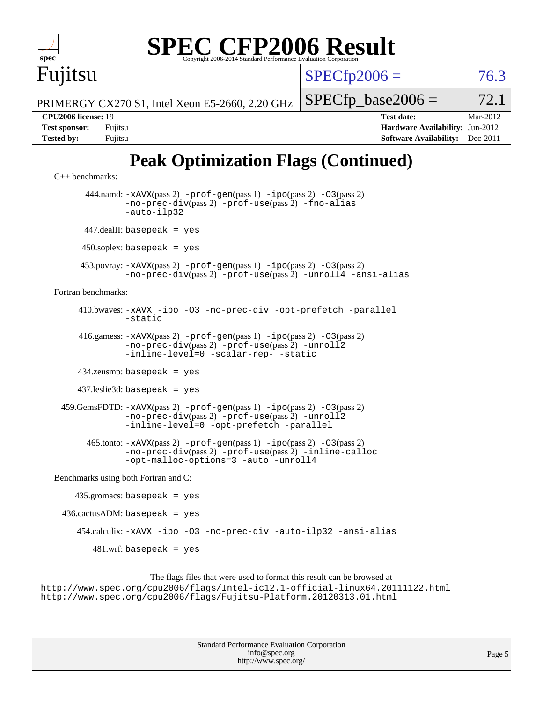

```
 416.gamess: -xAVX(pass 2) -prof-gen(pass 1) -ipo(pass 2) -O3(pass 2)
          -no-prec-div(pass 2) -prof-use(pass 2) -unroll2
          -inline-level=0-scalar-rep--static
```
434.zeusmp: basepeak = yes

437.leslie3d: basepeak = yes

 459.GemsFDTD: [-xAVX](http://www.spec.org/cpu2006/results/res2012q3/cpu2006-20120620-23082.flags.html#user_peakPASS2_FFLAGSPASS2_LDFLAGS459_GemsFDTD_f-xAVX)(pass 2) [-prof-gen](http://www.spec.org/cpu2006/results/res2012q3/cpu2006-20120620-23082.flags.html#user_peakPASS1_FFLAGSPASS1_LDFLAGS459_GemsFDTD_prof_gen_e43856698f6ca7b7e442dfd80e94a8fc)(pass 1) [-ipo](http://www.spec.org/cpu2006/results/res2012q3/cpu2006-20120620-23082.flags.html#user_peakPASS2_FFLAGSPASS2_LDFLAGS459_GemsFDTD_f-ipo)(pass 2) [-O3](http://www.spec.org/cpu2006/results/res2012q3/cpu2006-20120620-23082.flags.html#user_peakPASS2_FFLAGSPASS2_LDFLAGS459_GemsFDTD_f-O3)(pass 2) [-no-prec-div](http://www.spec.org/cpu2006/results/res2012q3/cpu2006-20120620-23082.flags.html#user_peakPASS2_FFLAGSPASS2_LDFLAGS459_GemsFDTD_f-no-prec-div)(pass 2) [-prof-use](http://www.spec.org/cpu2006/results/res2012q3/cpu2006-20120620-23082.flags.html#user_peakPASS2_FFLAGSPASS2_LDFLAGS459_GemsFDTD_prof_use_bccf7792157ff70d64e32fe3e1250b55)(pass 2) [-unroll2](http://www.spec.org/cpu2006/results/res2012q3/cpu2006-20120620-23082.flags.html#user_peakOPTIMIZE459_GemsFDTD_f-unroll_784dae83bebfb236979b41d2422d7ec2) [-inline-level=0](http://www.spec.org/cpu2006/results/res2012q3/cpu2006-20120620-23082.flags.html#user_peakOPTIMIZE459_GemsFDTD_f-inline-level_318d07a09274ad25e8d15dbfaa68ba50) [-opt-prefetch](http://www.spec.org/cpu2006/results/res2012q3/cpu2006-20120620-23082.flags.html#user_peakOPTIMIZE459_GemsFDTD_f-opt-prefetch) [-parallel](http://www.spec.org/cpu2006/results/res2012q3/cpu2006-20120620-23082.flags.html#user_peakOPTIMIZE459_GemsFDTD_f-parallel)

```
 465.tonto: -xAVX(pass 2) -prof-gen(pass 1) -ipo(pass 2) -O3(pass 2)
        -no-prec-div(pass 2) -prof-use(pass 2) -inline-calloc
        -opt-malloc-options=3 -auto -unroll4
```
[Benchmarks using both Fortran and C](http://www.spec.org/auto/cpu2006/Docs/result-fields.html#BenchmarksusingbothFortranandC):

```
 435.gromacs: basepeak = yes
436.cactusADM: basepeak = yes 454.calculix: -xAVX -ipo -O3 -no-prec-div -auto-ilp32 -ansi-alias
      481.wrf: basepeak = yes
```

```
The flags files that were used to format this result can be browsed at
http://www.spec.org/cpu2006/flags/Intel-ic12.1-official-linux64.20111122.html
http://www.spec.org/cpu2006/flags/Fujitsu-Platform.20120313.01.html
```
Standard Performance Evaluation Corporation [info@spec.org](mailto:info@spec.org) <http://www.spec.org/>